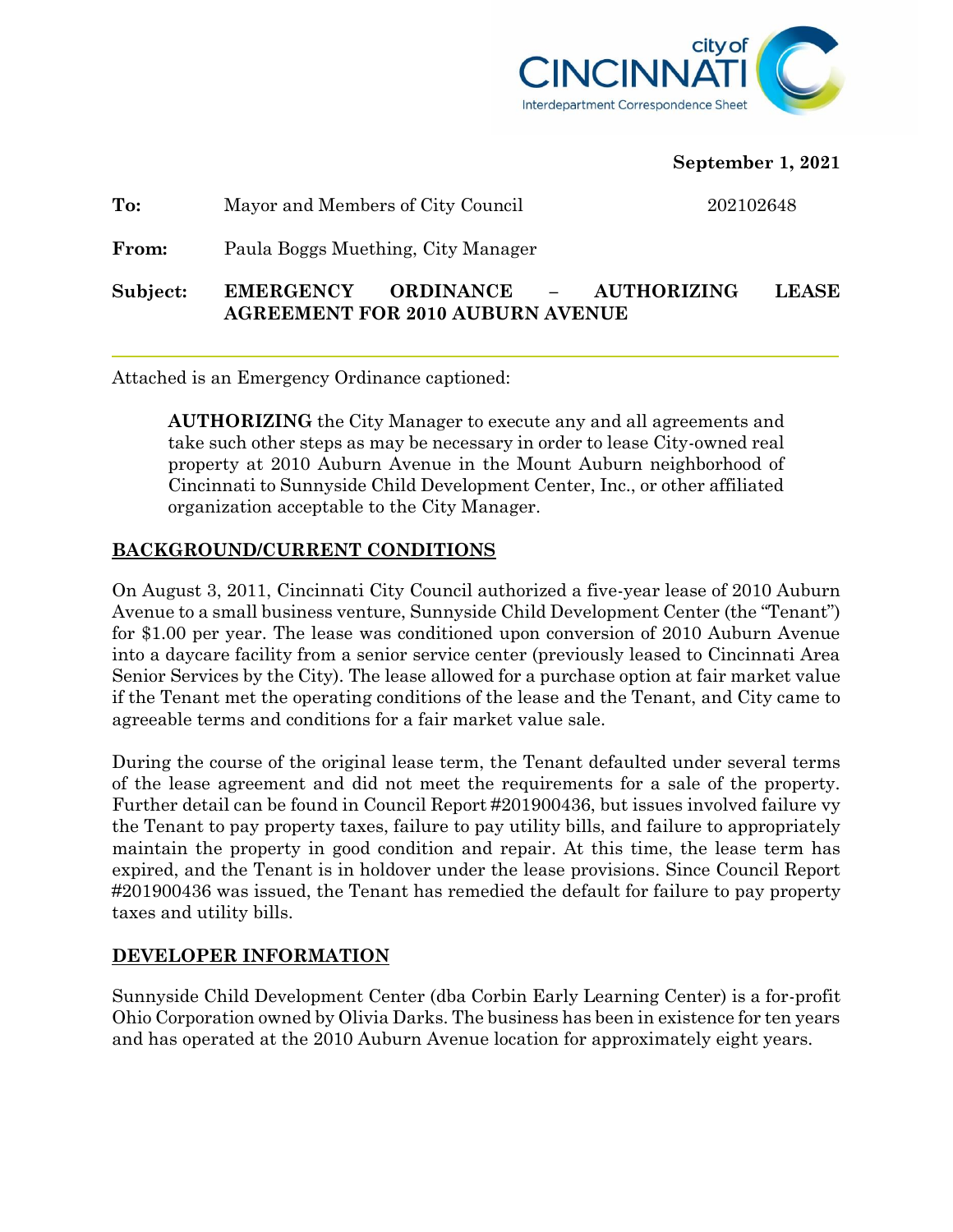

**September 1, 2021**

| Subject: | ORDINANCE – AUTHORIZING<br><b>EMERGENCY</b><br><b>AGREEMENT FOR 2010 AUBURN AVENUE</b> | <b>LEASE</b> |
|----------|----------------------------------------------------------------------------------------|--------------|
| From:    | Paula Boggs Muething, City Manager                                                     |              |
| To:      | Mayor and Members of City Council                                                      | 202102648    |

Attached is an Emergency Ordinance captioned:

**AUTHORIZING** the City Manager to execute any and all agreements and take such other steps as may be necessary in order to lease City-owned real property at 2010 Auburn Avenue in the Mount Auburn neighborhood of Cincinnati to Sunnyside Child Development Center, Inc., or other affiliated organization acceptable to the City Manager.

## **BACKGROUND/CURRENT CONDITIONS**

On August 3, 2011, Cincinnati City Council authorized a five-year lease of 2010 Auburn Avenue to a small business venture, Sunnyside Child Development Center (the "Tenant") for \$1.00 per year. The lease was conditioned upon conversion of 2010 Auburn Avenue into a daycare facility from a senior service center (previously leased to Cincinnati Area Senior Services by the City). The lease allowed for a purchase option at fair market value if the Tenant met the operating conditions of the lease and the Tenant, and City came to agreeable terms and conditions for a fair market value sale.

During the course of the original lease term, the Tenant defaulted under several terms of the lease agreement and did not meet the requirements for a sale of the property. Further detail can be found in Council Report #201900436, but issues involved failure vy the Tenant to pay property taxes, failure to pay utility bills, and failure to appropriately maintain the property in good condition and repair. At this time, the lease term has expired, and the Tenant is in holdover under the lease provisions. Since Council Report #201900436 was issued, the Tenant has remedied the default for failure to pay property taxes and utility bills.

## **DEVELOPER INFORMATION**

Sunnyside Child Development Center (dba Corbin Early Learning Center) is a for-profit Ohio Corporation owned by Olivia Darks. The business has been in existence for ten years and has operated at the 2010 Auburn Avenue location for approximately eight years.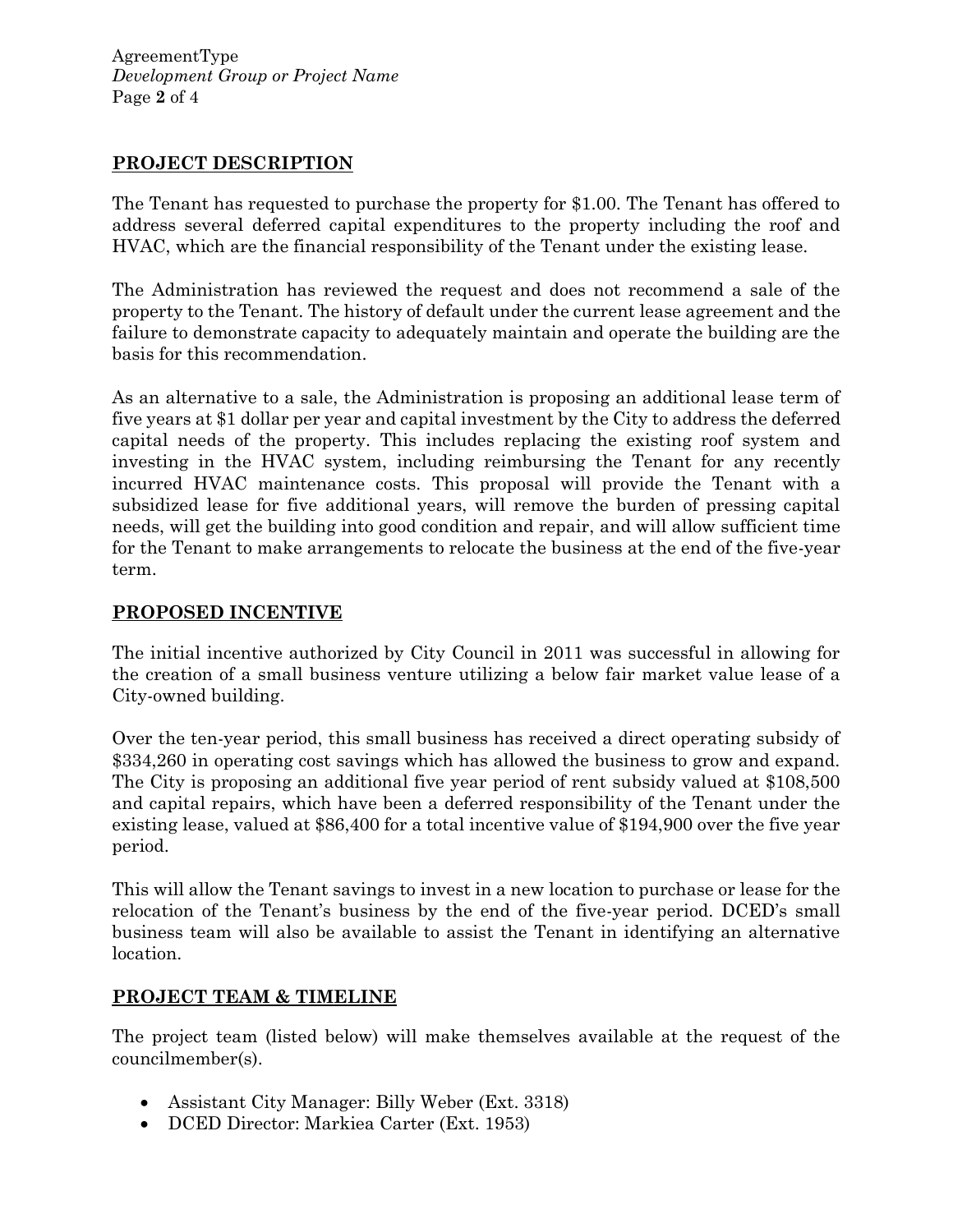AgreementType *Development Group or Project Name* Page **2** of 4

#### **PROJECT DESCRIPTION**

The Tenant has requested to purchase the property for \$1.00. The Tenant has offered to address several deferred capital expenditures to the property including the roof and HVAC, which are the financial responsibility of the Tenant under the existing lease.

The Administration has reviewed the request and does not recommend a sale of the property to the Tenant. The history of default under the current lease agreement and the failure to demonstrate capacity to adequately maintain and operate the building are the basis for this recommendation.

As an alternative to a sale, the Administration is proposing an additional lease term of five years at \$1 dollar per year and capital investment by the City to address the deferred capital needs of the property. This includes replacing the existing roof system and investing in the HVAC system, including reimbursing the Tenant for any recently incurred HVAC maintenance costs. This proposal will provide the Tenant with a subsidized lease for five additional years, will remove the burden of pressing capital needs, will get the building into good condition and repair, and will allow sufficient time for the Tenant to make arrangements to relocate the business at the end of the five-year term.

#### **PROPOSED INCENTIVE**

The initial incentive authorized by City Council in 2011 was successful in allowing for the creation of a small business venture utilizing a below fair market value lease of a City-owned building.

Over the ten-year period, this small business has received a direct operating subsidy of \$334,260 in operating cost savings which has allowed the business to grow and expand. The City is proposing an additional five year period of rent subsidy valued at \$108,500 and capital repairs, which have been a deferred responsibility of the Tenant under the existing lease, valued at \$86,400 for a total incentive value of \$194,900 over the five year period.

This will allow the Tenant savings to invest in a new location to purchase or lease for the relocation of the Tenant's business by the end of the five-year period. DCED's small business team will also be available to assist the Tenant in identifying an alternative location.

## **PROJECT TEAM & TIMELINE**

The project team (listed below) will make themselves available at the request of the councilmember(s).

- Assistant City Manager: Billy Weber (Ext. 3318)
- DCED Director: Markiea Carter (Ext. 1953)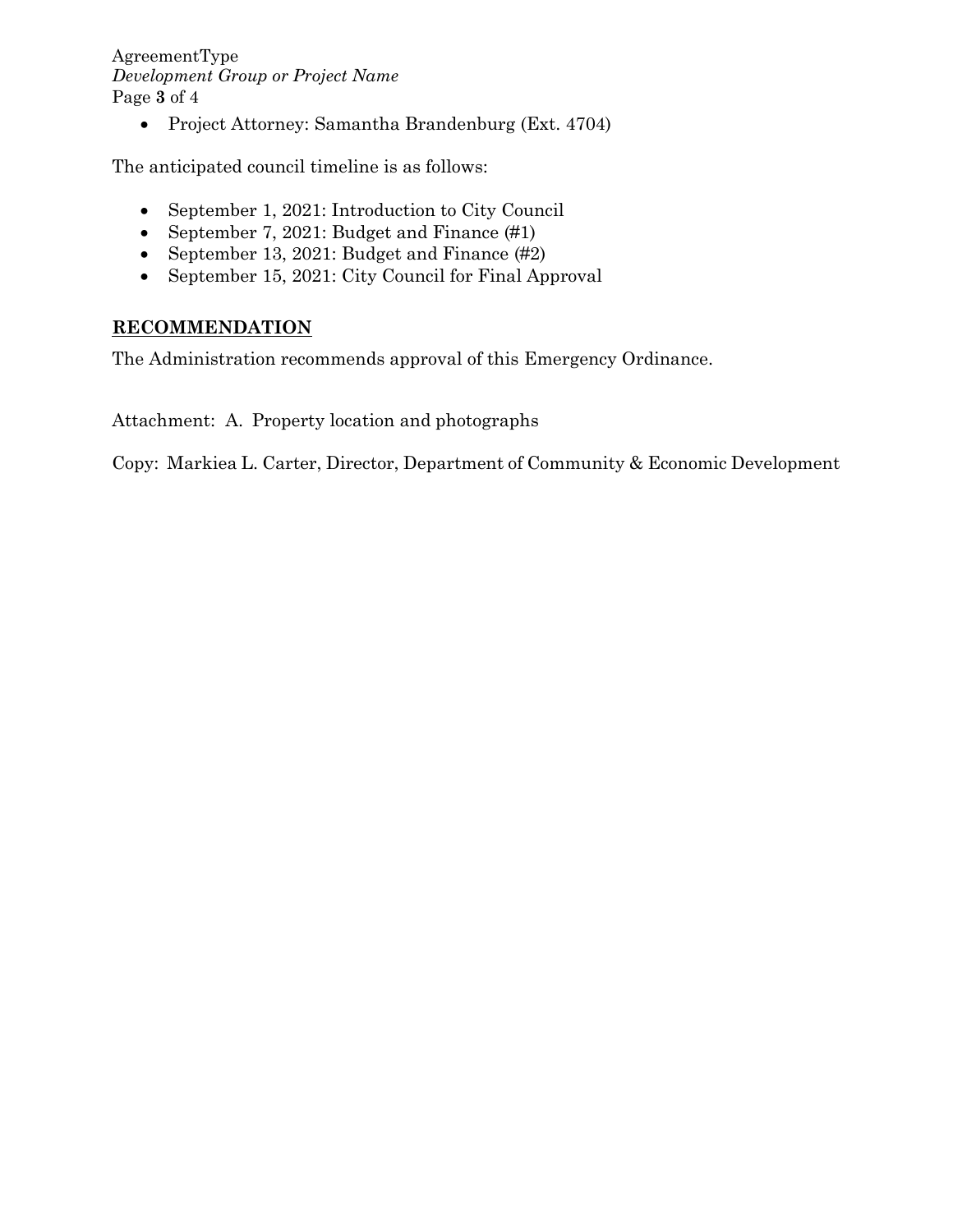#### AgreementType *Development Group or Project Name* Page **3** of 4

• Project Attorney: Samantha Brandenburg (Ext. 4704)

The anticipated council timeline is as follows:

- September 1, 2021: Introduction to City Council
- September 7, 2021: Budget and Finance (#1)
- September 13, 2021: Budget and Finance (#2)
- September 15, 2021: City Council for Final Approval

## **RECOMMENDATION**

The Administration recommends approval of this Emergency Ordinance.

Attachment: A. Property location and photographs

Copy: Markiea L. Carter, Director, Department of Community & Economic Development